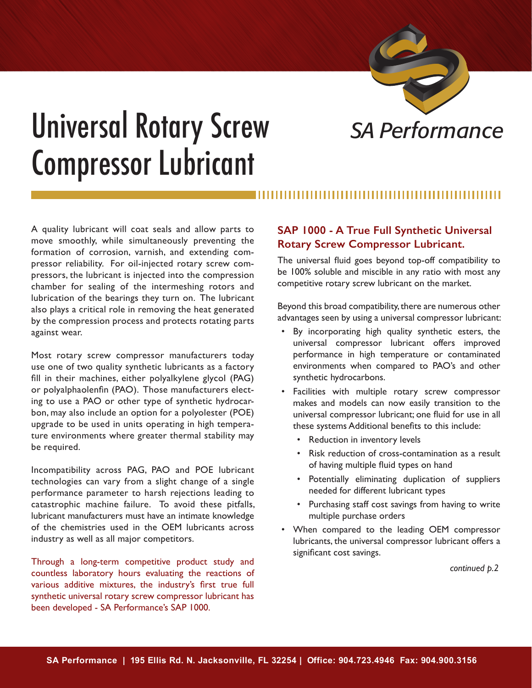

# Universal Rotary Screw *SA Performance* Compressor Lubricant

A quality lubricant will coat seals and allow parts to move smoothly, while simultaneously preventing the formation of corrosion, varnish, and extending compressor reliability. For oil-injected rotary screw compressors, the lubricant is injected into the compression chamber for sealing of the intermeshing rotors and lubrication of the bearings they turn on. The lubricant also plays a critical role in removing the heat generated by the compression process and protects rotating parts against wear.

Most rotary screw compressor manufacturers today use one of two quality synthetic lubricants as a factory fill in their machines, either polyalkylene glycol (PAG) or polyalphaolenfin (PAO). Those manufacturers electing to use a PAO or other type of synthetic hydrocarbon, may also include an option for a polyolester (POE) upgrade to be used in units operating in high temperature environments where greater thermal stability may be required.

Incompatibility across PAG, PAO and POE lubricant technologies can vary from a slight change of a single performance parameter to harsh rejections leading to catastrophic machine failure. To avoid these pitfalls, lubricant manufacturers must have an intimate knowledge of the chemistries used in the OEM lubricants across industry as well as all major competitors.

Through a long-term competitive product study and countless laboratory hours evaluating the reactions of various additive mixtures, the industry's first true full synthetic universal rotary screw compressor lubricant has been developed - SA Performance's SAP 1000.

## **SAP 1000 - A True Full Synthetic Universal Rotary Screw Compressor Lubricant.**

The universal fluid goes beyond top-off compatibility to be 100% soluble and miscible in any ratio with most any competitive rotary screw lubricant on the market.

Beyond this broad compatibility, there are numerous other advantages seen by using a universal compressor lubricant:

- By incorporating high quality synthetic esters, the universal compressor lubricant offers improved performance in high temperature or contaminated environments when compared to PAO's and other synthetic hydrocarbons.
- Facilities with multiple rotary screw compressor makes and models can now easily transition to the universal compressor lubricant; one fluid for use in all these systems Additional benefits to this include:
	- Reduction in inventory levels
	- Risk reduction of cross-contamination as a result of having multiple fluid types on hand
	- Potentially eliminating duplication of suppliers needed for different lubricant types
	- Purchasing staff cost savings from having to write multiple purchase orders
- When compared to the leading OEM compressor lubricants, the universal compressor lubricant offers a significant cost savings.

 *continued p.2*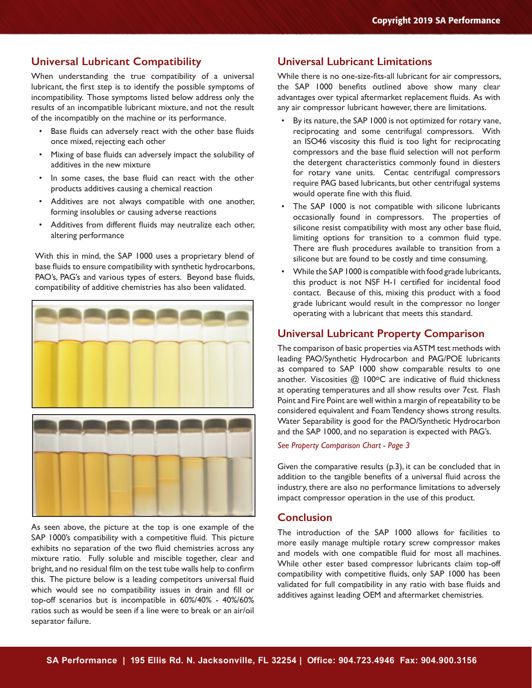### **Universal Lubricant Compatibility**

When understanding the true compatibility of a universal lubricant, the first step is to identify the possible symptoms of incompatibility. Those symptoms listed below address only the results of an incompatible lubricant mixture, and not the result of the incompatibly on the machine or its performance.

- Base fluids can adversely react with the other base fluids once mixed, rejecting each other
- Mixing of base fluids can adversely impact the solubility of additives in the new mixture
- In some cases, the base fluid can react with the other products additives causing a chemical reaction
- Additives are not always compatible with one another, forming insolubles or causing adverse reactions
- Additives from different fluids may neutralize each other, altering performance

With this in mind, the SAP 1000 uses a proprietary blend of base fluids to ensure compatibility with synthetic hydrocarbons, PAO's, PAG's and various types of esters. Beyond base fluids, compatibility of additive chemistries has also been validated.



As seen above, the picture at the top is one example of the SAP 1000's compatibility with a competitive fluid. This picture exhibits no separation of the two fluid chemistries across any mixture ratio. Fully soluble and miscible together, clear and bright, and no residual film on the test tube walls help to confirm this. The picture below is a leading competitors universal fluid which would see no compatibility issues in drain and fill or top-off scenarios but is incompatible in 60%/40% - 40%/60% ratios such as would be seen if a line were to break or an air/oil separator failure.

### **Universal Lubricant Limitations**

While there is no one-size-fits-all lubricant for air compressors, the SAP 1000 benefits outlined above show many clear advantages over typical aftermarket replacement fluids. As with any air compressor lubricant however, there are limitations.

- By its nature, the SAP 1000 is not optimized for rotary vane, reciprocating and some centrifugal compressors. With an ISO46 viscosity this fluid is too light for reciprocating compressors and the base fluid selection will not perform the detergent characteristics commonly found in diesters for rotary vane units. Centac centrifugal compressors require PAG based lubricants, but other centrifugal systems would operate fine with this fluid.
- The SAP 1000 is not compatible with silicone lubricants occasionally found in compressors. The properties of silicone resist compatibility with most any other base fluid, limiting options for transition to a common fluid type. There are flush procedures available to transition from a silicone but are found to be costly and time consuming.
- While the SAP 1000 is compatible with food grade lubricants, this product is not NSF H-1 certified for incidental food contact. Because of this, mixing this product with a food grade lubricant would result in the compressor no longer operating with a lubricant that meets this standard.

#### **Universal Lubricant Property Comparison**

The comparison of basic properties via ASTM test methods with leading PAO/Synthetic Hydrocarbon and PAG/POE lubricants as compared to SAP 1000 show comparable results to one another. Viscosities  $@$  100°C are indicative of fluid thickness at operating temperatures and all show results over 7cst. Flash Point and Fire Point are well within a margin of repeatability to be considered equivalent and Foam Tendency shows strong results. Water Separability is good for the PAO/Synthetic Hydrocarbon and the SAP 1000, and no separation is expected with PAG's.

#### *See Property Comparison Chart - Page 3*

Given the comparative results (p.3), it can be concluded that in addition to the tangible benefits of a universal fluid across the industry, there are also no performance limitations to adversely impact compressor operation in the use of this product.

### **Conclusion**

The introduction of the SAP 1000 allows for facilities to more easily manage multiple rotary screw compressor makes and models with one compatible fluid for most all machines. While other ester based compressor lubricants claim top-off compatibility with competitive fluids, only SAP 1000 has been validated for full compatibility in any ratio with base fluids and additives against leading OEM and aftermarket chemistries.